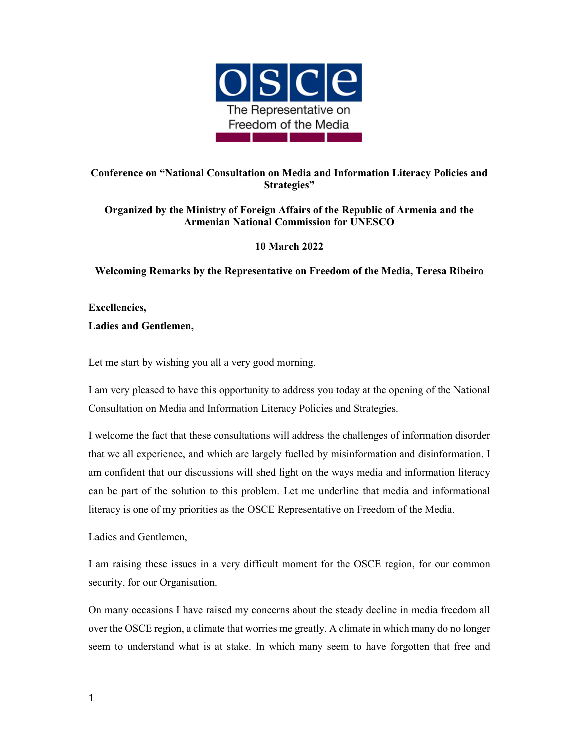

## Conference on "National Consultation on Media and Information Literacy Policies and Strategies"

## Organized by the Ministry of Foreign Affairs of the Republic of Armenia and the Armenian National Commission for UNESCO

## 10 March 2022

Welcoming Remarks by the Representative on Freedom of the Media, Teresa Ribeiro

Excellencies, Ladies and Gentlemen,

Let me start by wishing you all a very good morning.

I am very pleased to have this opportunity to address you today at the opening of the National Consultation on Media and Information Literacy Policies and Strategies.

I welcome the fact that these consultations will address the challenges of information disorder that we all experience, and which are largely fuelled by misinformation and disinformation. I am confident that our discussions will shed light on the ways media and information literacy can be part of the solution to this problem. Let me underline that media and informational literacy is one of my priorities as the OSCE Representative on Freedom of the Media.

Ladies and Gentlemen,

I am raising these issues in a very difficult moment for the OSCE region, for our common security, for our Organisation.

On many occasions I have raised my concerns about the steady decline in media freedom all over the OSCE region, a climate that worries me greatly. A climate in which many do no longer seem to understand what is at stake. In which many seem to have forgotten that free and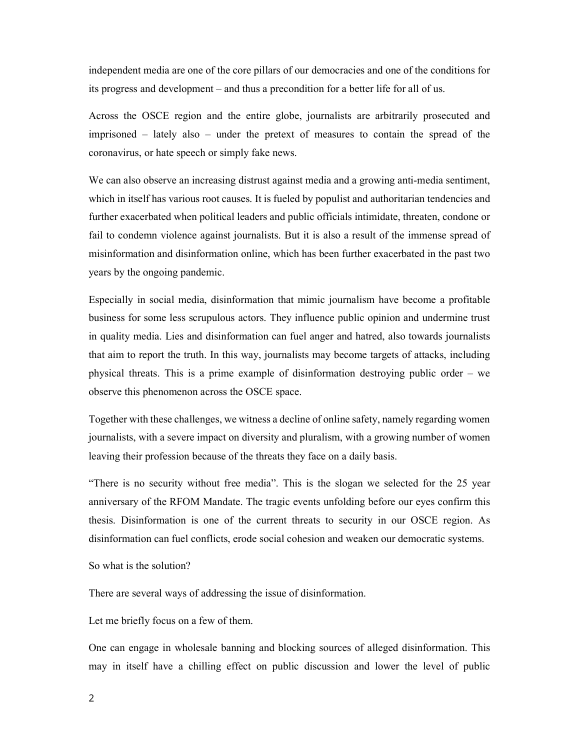independent media are one of the core pillars of our democracies and one of the conditions for its progress and development – and thus a precondition for a better life for all of us.

Across the OSCE region and the entire globe, journalists are arbitrarily prosecuted and imprisoned – lately also – under the pretext of measures to contain the spread of the coronavirus, or hate speech or simply fake news.

We can also observe an increasing distrust against media and a growing anti-media sentiment, which in itself has various root causes. It is fueled by populist and authoritarian tendencies and further exacerbated when political leaders and public officials intimidate, threaten, condone or fail to condemn violence against journalists. But it is also a result of the immense spread of misinformation and disinformation online, which has been further exacerbated in the past two years by the ongoing pandemic.

Especially in social media, disinformation that mimic journalism have become a profitable business for some less scrupulous actors. They influence public opinion and undermine trust in quality media. Lies and disinformation can fuel anger and hatred, also towards journalists that aim to report the truth. In this way, journalists may become targets of attacks, including physical threats. This is a prime example of disinformation destroying public order – we observe this phenomenon across the OSCE space.

Together with these challenges, we witness a decline of online safety, namely regarding women journalists, with a severe impact on diversity and pluralism, with a growing number of women leaving their profession because of the threats they face on a daily basis.

"There is no security without free media". This is the slogan we selected for the 25 year anniversary of the RFOM Mandate. The tragic events unfolding before our eyes confirm this thesis. Disinformation is one of the current threats to security in our OSCE region. As disinformation can fuel conflicts, erode social cohesion and weaken our democratic systems.

So what is the solution?

There are several ways of addressing the issue of disinformation.

Let me briefly focus on a few of them.

One can engage in wholesale banning and blocking sources of alleged disinformation. This may in itself have a chilling effect on public discussion and lower the level of public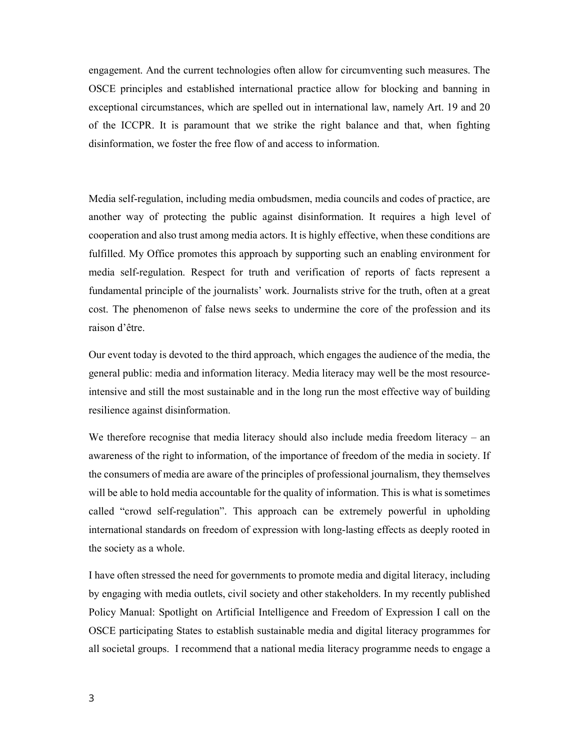engagement. And the current technologies often allow for circumventing such measures. The OSCE principles and established international practice allow for blocking and banning in exceptional circumstances, which are spelled out in international law, namely Art. 19 and 20 of the ICCPR. It is paramount that we strike the right balance and that, when fighting disinformation, we foster the free flow of and access to information.

Media self-regulation, including media ombudsmen, media councils and codes of practice, are another way of protecting the public against disinformation. It requires a high level of cooperation and also trust among media actors. It is highly effective, when these conditions are fulfilled. My Office promotes this approach by supporting such an enabling environment for media self-regulation. Respect for truth and verification of reports of facts represent a fundamental principle of the journalists' work. Journalists strive for the truth, often at a great cost. The phenomenon of false news seeks to undermine the core of the profession and its raison d'être.

Our event today is devoted to the third approach, which engages the audience of the media, the general public: media and information literacy. Media literacy may well be the most resourceintensive and still the most sustainable and in the long run the most effective way of building resilience against disinformation.

We therefore recognise that media literacy should also include media freedom literacy – an awareness of the right to information, of the importance of freedom of the media in society. If the consumers of media are aware of the principles of professional journalism, they themselves will be able to hold media accountable for the quality of information. This is what is sometimes called "crowd self-regulation". This approach can be extremely powerful in upholding international standards on freedom of expression with long-lasting effects as deeply rooted in the society as a whole.

I have often stressed the need for governments to promote media and digital literacy, including by engaging with media outlets, civil society and other stakeholders. In my recently published Policy Manual: Spotlight on Artificial Intelligence and Freedom of Expression I call on the OSCE participating States to establish sustainable media and digital literacy programmes for all societal groups. I recommend that a national media literacy programme needs to engage a